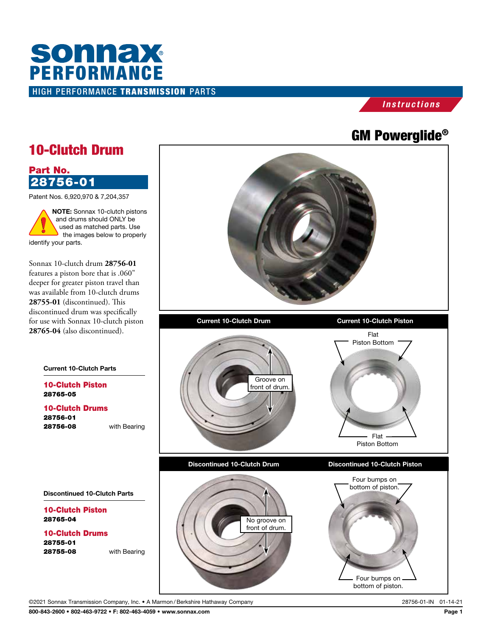## HIGH PERFORMANCE TRANSMISSION PARTS **SONNAX**<br>PERFORMANCE

## *Instructions*

## GM Powerglide®



©2021 Sonnax Transmission Company, Inc. • A Marmon /Berkshire Hathaway Company 28756-01-IN 01-14-21

800-843-2600 • 802-463-9722 • F: 802-463-4059 • www.sonnax.com Page 1

28765-05

Part No.

identify your parts.

28756-01

28765-04

28755-01